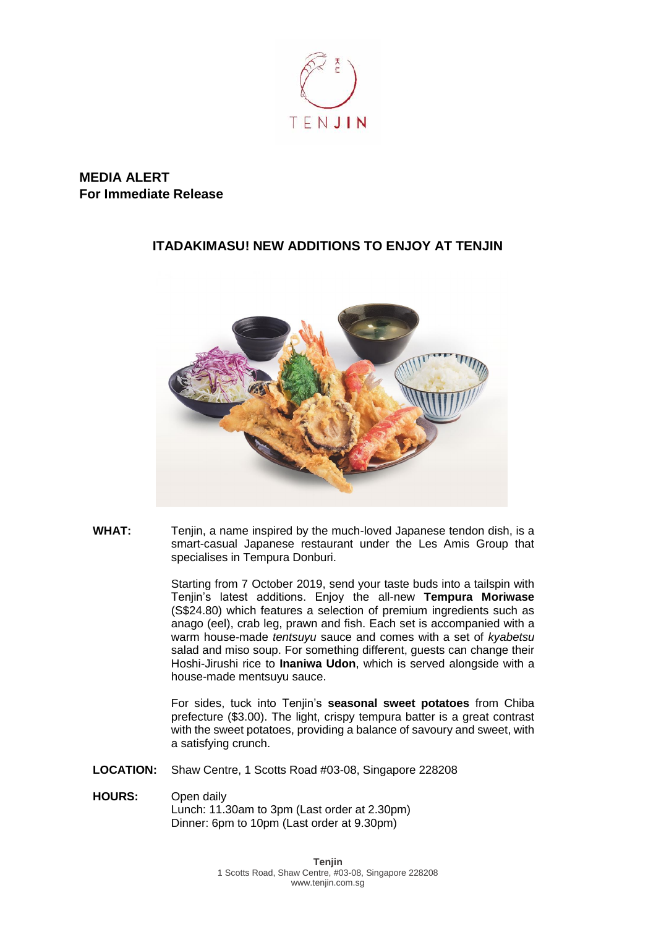

## **MEDIA ALERT For Immediate Release**

## **ITADAKIMASU! NEW ADDITIONS TO ENJOY AT TENJIN**



**WHAT:** Tenjin, a name inspired by the much-loved Japanese tendon dish, is a smart-casual Japanese restaurant under the Les Amis Group that specialises in Tempura Donburi.

> Starting from 7 October 2019, send your taste buds into a tailspin with Tenjin's latest additions. Enjoy the all-new **Tempura Moriwase** (S\$24.80) which features a selection of premium ingredients such as anago (eel), crab leg, prawn and fish. Each set is accompanied with a warm house-made *tentsuyu* sauce and comes with a set of *kyabetsu* salad and miso soup. For something different, guests can change their Hoshi-Jirushi rice to **Inaniwa Udon**, which is served alongside with a house-made mentsuyu sauce.

> For sides, tuck into Tenjin's **seasonal sweet potatoes** from Chiba prefecture (\$3.00). The light, crispy tempura batter is a great contrast with the sweet potatoes, providing a balance of savoury and sweet, with a satisfying crunch.

**LOCATION:** Shaw Centre, 1 Scotts Road #03-08, Singapore 228208

**HOURS:** Open daily Lunch: 11.30am to 3pm (Last order at 2.30pm) Dinner: 6pm to 10pm (Last order at 9.30pm)